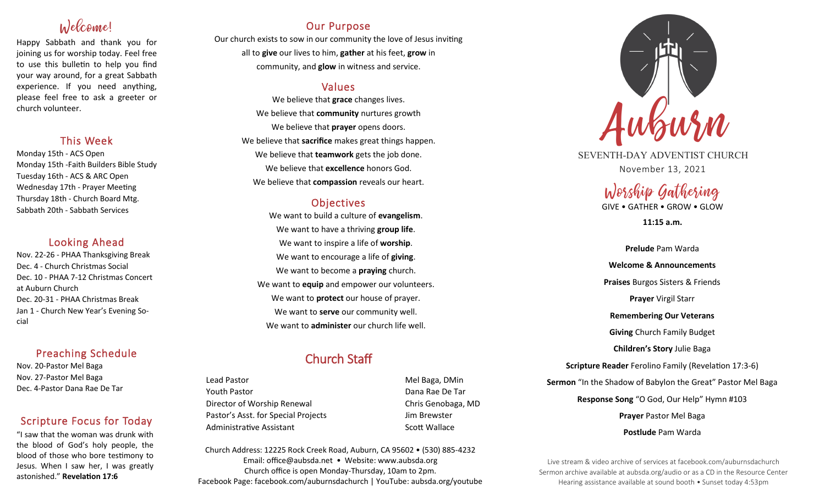# Welcome!

Happy Sabbath and thank you for joining us for worship today. Feel free to use this bulletin to help you find your way around, for a great Sabbath experience. If you need anything, please feel free to ask a greeter or church volunteer.

## This Week

Monday 15th - ACS Open Monday 15th -Faith Builders Bible Study Tuesday 16th - ACS & ARC Open Wednesday 17th - Prayer Meeting Thursday 18th - Church Board Mtg. Sabbath 20th - Sabbath Services

## Looking Ahead

Nov. 22-26 - PHAA Thanksgiving Break Dec. 4 - Church Christmas Social Dec. 10 - PHAA 7-12 Christmas Concert at Auburn Church Dec. 20-31 - PHAA Christmas Break Jan 1 - Church New Year's Evening Social

## Preaching Schedule

Nov. 20-Pastor Mel Baga Nov. 27-Pastor Mel Baga Dec. 4-Pastor Dana Rae De Tar

## Scripture Focus for Today

"I saw that the woman was drunk with the blood of God's holy people, the blood of those who bore testimony to Jesus. When I saw her, I was greatly astonished." **Revelation 17:6**

## Our Purpose

Our church exists to sow in our community the love of Jesus inviting all to **give** our lives to him, **gather** at his feet, **grow** in community, and **glow** in witness and service.

## Values

We believe that **grace** changes lives. We believe that **community** nurtures growth We believe that **prayer** opens doors. We believe that **sacrifice** makes great things happen. We believe that **teamwork** gets the job done. We believe that **excellence** honors God. We believe that **compassion** reveals our heart.

## **Objectives**

We want to build a culture of **evangelism**. We want to have a thriving **group life**. We want to inspire a life of **worship**. We want to encourage a life of **giving**. We want to become a **praying** church. We want to **equip** and empower our volunteers. We want to **protect** our house of prayer. We want to **serve** our community well. We want to **administer** our church life well.

## Church Staff

Lead Pastor **Mel Baga, DMin** Youth Pastor Dana Rae De Tar Director of Worship Renewal **Chris Genobaga**, MD Pastor's Asst. for Special Projects Fig. 3.1 Jim Brewster Administrative Assistant National Controllery Scott Wallace

Church Address: 12225 Rock Creek Road, Auburn, CA 95602 • (530) 885-4232 Email: office@aubsda.net • Website: www.aubsda.org Church office is open Monday-Thursday, 10am to 2pm. Facebook Page: facebook.com/auburnsdachurch | YouTube: aubsda.org/youtube



SEVENTH-DAY ADVENTIST CHURCH November 13, 2021

# Worship Gathering

GIVE • GATHER • GROW • GLOW

**11:15 a.m.**

**Prelude** Pam Warda **Welcome & Announcements Praises** Burgos Sisters & Friends **Prayer** Virgil Starr **Remembering Our Veterans Giving** Church Family Budget **Children's Story** Julie Baga **Scripture Reader** Ferolino Family (Revelation 17:3-6) **Sermon** "In the Shadow of Babylon the Great" Pastor Mel Baga **Response Song** "O God, Our Help" Hymn #103 **Prayer** Pastor Mel Baga **Postlude** Pam Warda

Live stream & video archive of services at facebook.com/auburnsdachurch Sermon archive available at aubsda.org/audio or as a CD in the Resource Center Hearing assistance available at sound booth • Sunset today 4:53pm